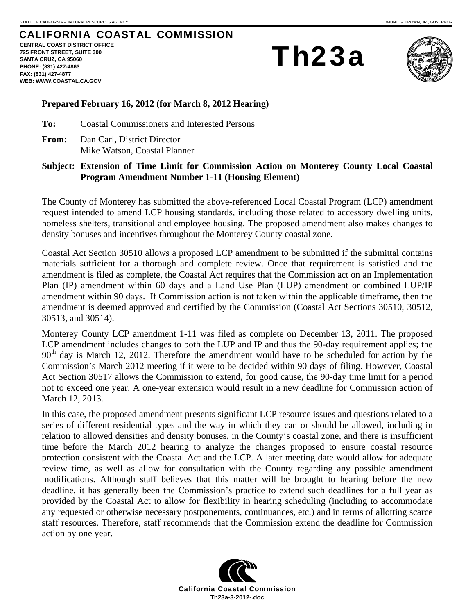## CALIFORNIA COASTAL COMMISSION

**CENTRAL COAST DISTRICT OFFICE 725 FRONT STREET, SUITE 300 SANTA CRUZ, CA 95060 PHONE: (831) 427-4863 FAX: (831) 427-4877 WEB: WWW.COASTAL.CA.GOV**

Th23a



## **Prepared February 16, 2012 (for March 8, 2012 Hearing)**

**To:** Coastal Commissioners and Interested Persons

**From:** Dan Carl, District Director Mike Watson, Coastal Planner

## **Subject: Extension of Time Limit for Commission Action on Monterey County Local Coastal Program Amendment Number 1-11 (Housing Element)**

The County of Monterey has submitted the above-referenced Local Coastal Program (LCP) amendment request intended to amend LCP housing standards, including those related to accessory dwelling units, homeless shelters, transitional and employee housing. The proposed amendment also makes changes to density bonuses and incentives throughout the Monterey County coastal zone.

Coastal Act Section 30510 allows a proposed LCP amendment to be submitted if the submittal contains materials sufficient for a thorough and complete review. Once that requirement is satisfied and the amendment is filed as complete, the Coastal Act requires that the Commission act on an Implementation Plan (IP) amendment within 60 days and a Land Use Plan (LUP) amendment or combined LUP/IP amendment within 90 days. If Commission action is not taken within the applicable timeframe, then the amendment is deemed approved and certified by the Commission (Coastal Act Sections 30510, 30512, 30513, and 30514).

Monterey County LCP amendment 1-11 was filed as complete on December 13, 2011. The proposed LCP amendment includes changes to both the LUP and IP and thus the 90-day requirement applies; the  $90<sup>th</sup>$  day is March 12, 2012. Therefore the amendment would have to be scheduled for action by the Commission's March 2012 meeting if it were to be decided within 90 days of filing. However, Coastal Act Section 30517 allows the Commission to extend, for good cause, the 90-day time limit for a period not to exceed one year. A one-year extension would result in a new deadline for Commission action of March 12, 2013.

In this case, the proposed amendment presents significant LCP resource issues and questions related to a series of different residential types and the way in which they can or should be allowed, including in relation to allowed densities and density bonuses, in the County's coastal zone, and there is insufficient time before the March 2012 hearing to analyze the changes proposed to ensure coastal resource protection consistent with the Coastal Act and the LCP. A later meeting date would allow for adequate review time, as well as allow for consultation with the County regarding any possible amendment modifications. Although staff believes that this matter will be brought to hearing before the new deadline, it has generally been the Commission's practice to extend such deadlines for a full year as provided by the Coastal Act to allow for flexibility in hearing scheduling (including to accommodate any requested or otherwise necessary postponements, continuances, etc.) and in terms of allotting scarce staff resources. Therefore, staff recommends that the Commission extend the deadline for Commission action by one year.